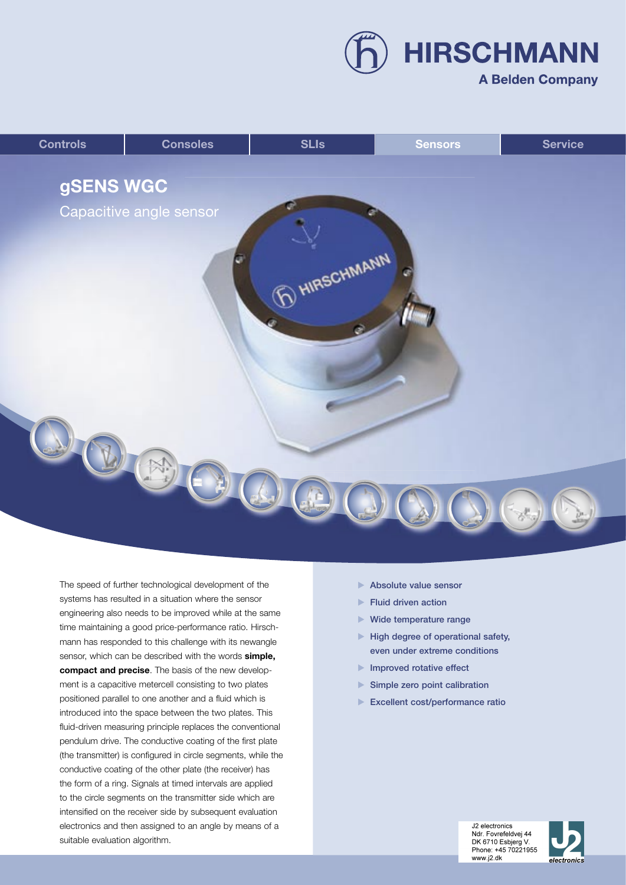**HIRSCHMANN** 

## **A Belden Company**



The speed of further technological development of the systems has resulted in a situation where the sensor engineering also needs to be improved while at the same time maintaining a good price-performance ratio. Hirschmann has responded to this challenge with its newangle sensor, which can be described with the words **simple, compact and precise**. The basis of the new development is a capacitive metercell consisting to two plates positioned parallel to one another and a fluid which is introduced into the space between the two plates. This fluid-driven measuring principle replaces the conventional pendulum drive. The conductive coating of the first plate (the transmitter) is configured in circle segments, while the conductive coating of the other plate (the receiver) has the form of a ring. Signals at timed intervals are applied to the circle segments on the transmitter side which are intensified on the receiver side by subsequent evaluation electronics and then assigned to an angle by means of a suitable evaluation algorithm.

- Absolute value sensor
- $\blacktriangleright$  Fluid driven action
- ▶ Wide temperature range
- $\blacktriangleright$  High degree of operational safety, even under extreme conditions
- Improved rotative effect
- $\blacktriangleright$  Simple zero point calibration
- Excellent cost/performance ratio